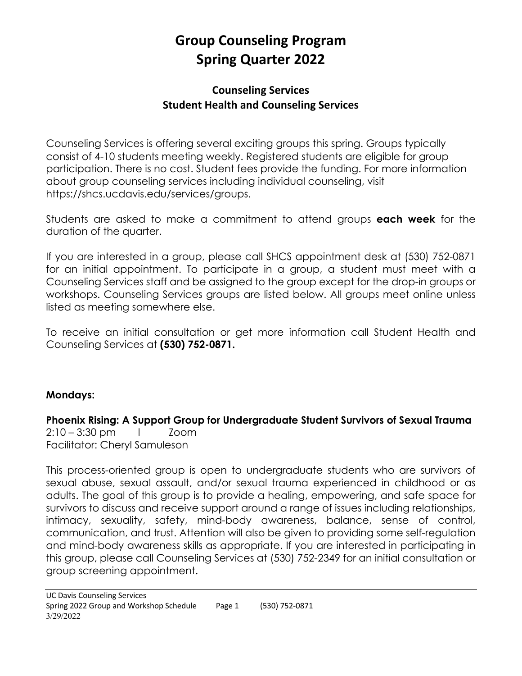# **Group Counseling Program Spring Quarter 2022**

## **Counseling Services Student Health and Counseling Services**

Counseling Services is offering several exciting groups this spring. Groups typically consist of 4-10 students meeting weekly. Registered students are eligible for group participation. There is no cost. Student fees provide the funding. For more information about group counseling services including individual counseling, visit https://shcs.ucdavis.edu/services/groups.

Students are asked to make a commitment to attend groups **each week** for the duration of the quarter.

If you are interested in a group, please call SHCS appointment desk at (530) 752-0871 for an initial appointment. To participate in a group, a student must meet with a Counseling Services staff and be assigned to the group except for the drop-in groups or workshops. Counseling Services groups are listed below. All groups meet online unless listed as meeting somewhere else.

To receive an initial consultation or get more information call Student Health and Counseling Services at **(530) 752-0871.**

#### **Mondays:**

**Phoenix Rising: A Support Group for Undergraduate Student Survivors of Sexual Trauma** 2:10 – 3:30 pm l Zoom Facilitator: Cheryl Samuleson

This process-oriented group is open to undergraduate students who are survivors of sexual abuse, sexual assault, and/or sexual trauma experienced in childhood or as adults. The goal of this group is to provide a healing, empowering, and safe space for survivors to discuss and receive support around a range of issues including relationships, intimacy, sexuality, safety, mind-body awareness, balance, sense of control, communication, and trust. Attention will also be given to providing some self-regulation and mind-body awareness skills as appropriate. If you are interested in participating in this group, please call Counseling Services at (530) 752-2349 for an initial consultation or group screening appointment.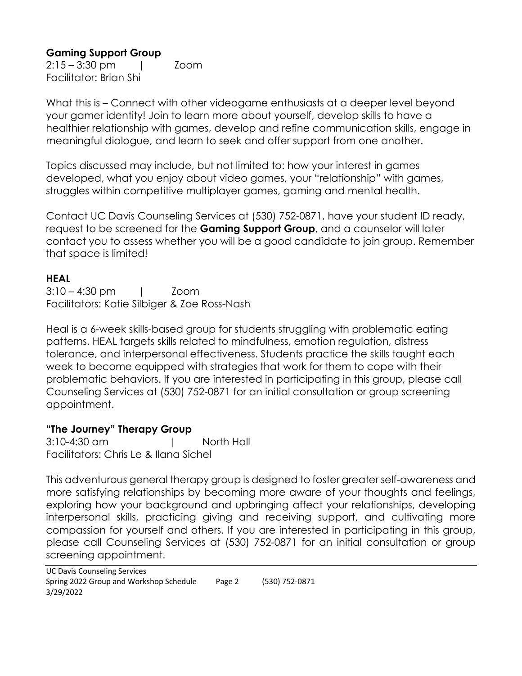## **Gaming Support Group**

2:15 – 3:30 pm | Zoom Facilitator: Brian Shi

What this is – Connect with other videogame enthusiasts at a deeper level beyond your gamer identity! Join to learn more about yourself, develop skills to have a healthier relationship with games, develop and refine communication skills, engage in meaningful dialogue, and learn to seek and offer support from one another.

Topics discussed may include, but not limited to: how your interest in games developed, what you enjoy about video games, your "relationship" with games, struggles within competitive multiplayer games, gaming and mental health.

Contact UC Davis Counseling Services at (530) 752-0871, have your student ID ready, request to be screened for the **Gaming Support Group**, and a counselor will later contact you to assess whether you will be a good candidate to join group. Remember that space is limited!

#### **HEAL**

3:10 – 4:30 pm | Zoom Facilitators: Katie Silbiger & Zoe Ross-Nash

Heal is a 6-week skills-based group for students struggling with problematic eating patterns. HEAL targets skills related to mindfulness, emotion regulation, distress tolerance, and interpersonal effectiveness. Students practice the skills taught each week to become equipped with strategies that work for them to cope with their problematic behaviors. If you are interested in participating in this group, please call Counseling Services at (530) 752-0871 for an initial consultation or group screening appointment.

#### **"The Journey" Therapy Group**

3:10-4:30 am | North Hall Facilitators: Chris Le & Ilana Sichel

This adventurous general therapy group is designed to foster greater self-awareness and more satisfying relationships by becoming more aware of your thoughts and feelings, exploring how your background and upbringing affect your relationships, developing interpersonal skills, practicing giving and receiving support, and cultivating more compassion for yourself and others. If you are interested in participating in this group, please call Counseling Services at (530) 752-0871 for an initial consultation or group screening appointment.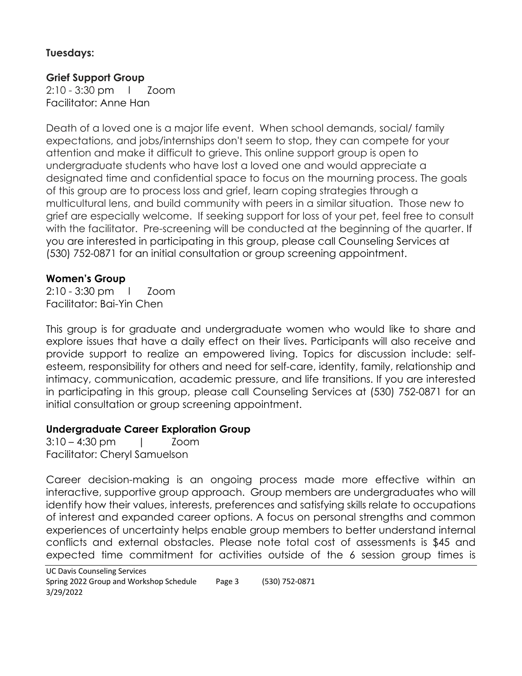#### **Tuesdays:**

#### **Grief Support Group**

2:10 - 3:30 pm l Zoom Facilitator: Anne Han

Death of a loved one is a major life event. When school demands, social/ family expectations, and jobs/internships don't seem to stop, they can compete for your attention and make it difficult to grieve. This online support group is open to undergraduate students who have lost a loved one and would appreciate a designated time and confidential space to focus on the mourning process. The goals of this group are to process loss and grief, learn coping strategies through a multicultural lens, and build community with peers in a similar situation. Those new to grief are especially welcome. If seeking support for loss of your pet, feel free to consult with the facilitator. Pre-screening will be conducted at the beginning of the quarter. If you are interested in participating in this group, please call Counseling Services at (530) 752-0871 for an initial consultation or group screening appointment.

#### **Women's Group**

2:10 - 3:30 pm l Zoom Facilitator: Bai-Yin Chen

This group is for graduate and undergraduate women who would like to share and explore issues that have a daily effect on their lives. Participants will also receive and provide support to realize an empowered living. Topics for discussion include: selfesteem, responsibility for others and need for self-care, identity, family, relationship and intimacy, communication, academic pressure, and life transitions. If you are interested in participating in this group, please call Counseling Services at (530) 752-0871 for an initial consultation or group screening appointment.

#### **Undergraduate Career Exploration Group**

3:10 – 4:30 pm | Zoom Facilitator: Cheryl Samuelson

Career decision-making is an ongoing process made more effective within an interactive, supportive group approach. Group members are undergraduates who will identify how their values, interests, preferences and satisfying skills relate to occupations of interest and expanded career options. A focus on personal strengths and common experiences of uncertainty helps enable group members to better understand internal conflicts and external obstacles. Please note total cost of assessments is \$45 and expected time commitment for activities outside of the 6 session group times is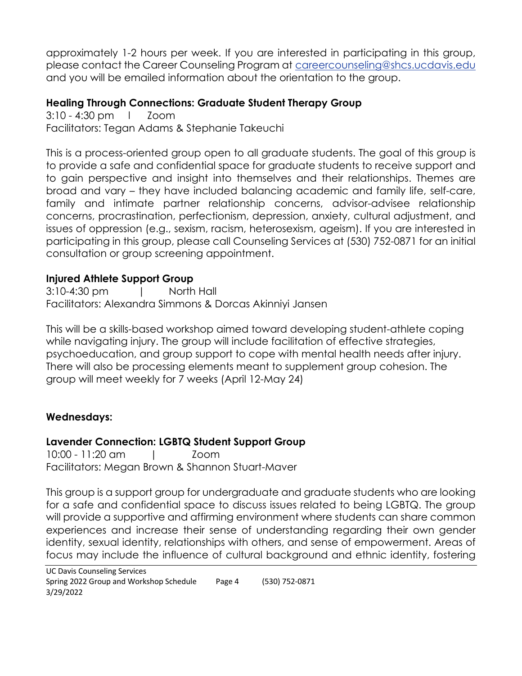approximately 1-2 hours per week. If you are interested in participating in this group, please contact the Career Counseling Program at careercounseling@shcs.ucdavis.edu and you will be emailed information about the orientation to the group.

#### **Healing Through Connections: Graduate Student Therapy Group**

3:10 - 4:30 pm l Zoom Facilitators: Tegan Adams & Stephanie Takeuchi

This is a process-oriented group open to all graduate students. The goal of this group is to provide a safe and confidential space for graduate students to receive support and to gain perspective and insight into themselves and their relationships. Themes are broad and vary – they have included balancing academic and family life, self-care, family and intimate partner relationship concerns, advisor-advisee relationship concerns, procrastination, perfectionism, depression, anxiety, cultural adjustment, and issues of oppression (e.g., sexism, racism, heterosexism, ageism). If you are interested in participating in this group, please call Counseling Services at (530) 752-0871 for an initial consultation or group screening appointment.

#### **Injured Athlete Support Group**

3:10-4:30 pm | North Hall Facilitators: Alexandra Simmons & Dorcas Akinniyi Jansen

This will be a skills-based workshop aimed toward developing student-athlete coping while navigating injury. The group will include facilitation of effective strategies, psychoeducation, and group support to cope with mental health needs after injury. There will also be processing elements meant to supplement group cohesion. The group will meet weekly for 7 weeks (April 12-May 24)

## **Wednesdays:**

## **Lavender Connection: LGBTQ Student Support Group**

10:00 - 11:20 am | Zoom Facilitators: Megan Brown & Shannon Stuart-Maver

This group is a support group for undergraduate and graduate students who are looking for a safe and confidential space to discuss issues related to being LGBTQ. The group will provide a supportive and affirming environment where students can share common experiences and increase their sense of understanding regarding their own gender identity, sexual identity, relationships with others, and sense of empowerment. Areas of focus may include the influence of cultural background and ethnic identity, fostering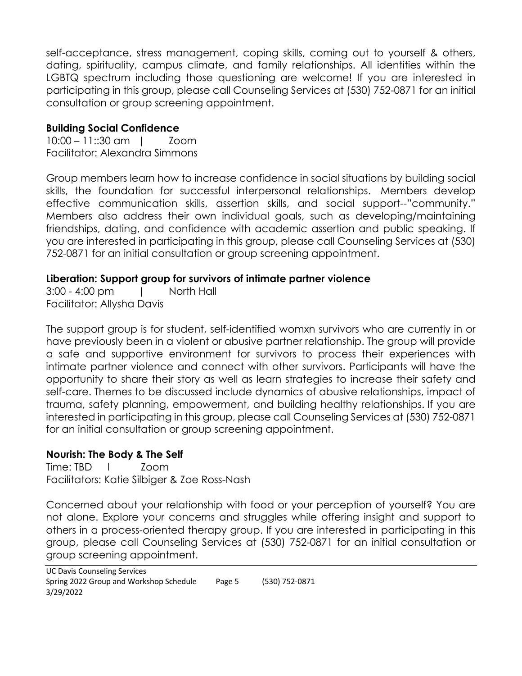self-acceptance, stress management, coping skills, coming out to yourself & others, dating, spirituality, campus climate, and family relationships. All identities within the LGBTQ spectrum including those questioning are welcome! If you are interested in participating in this group, please call Counseling Services at (530) 752-0871 for an initial consultation or group screening appointment.

#### **Building Social Confidence**

10:00 – 11::30 am | Zoom Facilitator: Alexandra Simmons

Group members learn how to increase confidence in social situations by building social skills, the foundation for successful interpersonal relationships. Members develop effective communication skills, assertion skills, and social support--"community." Members also address their own individual goals, such as developing/maintaining friendships, dating, and confidence with academic assertion and public speaking. If you are interested in participating in this group, please call Counseling Services at (530) 752-0871 for an initial consultation or group screening appointment.

#### **Liberation: Support group for survivors of intimate partner violence**

3:00 - 4:00 pm | North Hall Facilitator: Allysha Davis

The support group is for student, self-identified womxn survivors who are currently in or have previously been in a violent or abusive partner relationship. The group will provide a safe and supportive environment for survivors to process their experiences with intimate partner violence and connect with other survivors. Participants will have the opportunity to share their story as well as learn strategies to increase their safety and self-care. Themes to be discussed include dynamics of abusive relationships, impact of trauma, safety planning, empowerment, and building healthy relationships. If you are interested in participating in this group, please call Counseling Services at (530) 752-0871 for an initial consultation or group screening appointment.

## **Nourish: The Body & The Self**

Time: TBD l Zoom Facilitators: Katie Silbiger & Zoe Ross-Nash

Concerned about your relationship with food or your perception of yourself? You are not alone. Explore your concerns and struggles while offering insight and support to others in a process-oriented therapy group. If you are interested in participating in this group, please call Counseling Services at (530) 752-0871 for an initial consultation or group screening appointment.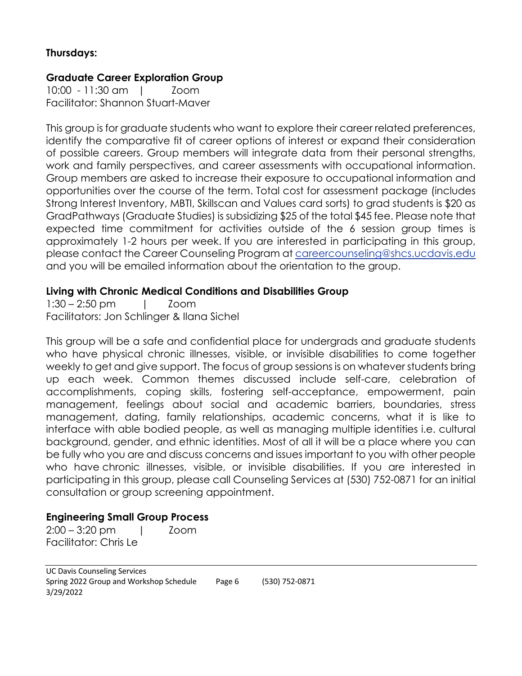#### **Thursdays:**

#### **Graduate Career Exploration Group**

10:00 - 11:30 am | Zoom Facilitator: Shannon Stuart-Maver

This group is for graduate students who want to explore their career related preferences, identify the comparative fit of career options of interest or expand their consideration of possible careers. Group members will integrate data from their personal strengths, work and family perspectives, and career assessments with occupational information. Group members are asked to increase their exposure to occupational information and opportunities over the course of the term. Total cost for assessment package (includes Strong Interest Inventory, MBTI, Skillscan and Values card sorts) to grad students is \$20 as GradPathways (Graduate Studies) is subsidizing \$25 of the total \$45 fee. Please note that expected time commitment for activities outside of the 6 session group times is approximately 1-2 hours per week. If you are interested in participating in this group, please contact the Career Counseling Program at careercounseling@shcs.ucdavis.edu and you will be emailed information about the orientation to the group.

#### **Living with Chronic Medical Conditions and Disabilities Group**

1:30 – 2:50 pm | Zoom Facilitators: Jon Schlinger & Ilana Sichel

This group will be a safe and confidential place for undergrads and graduate students who have physical chronic illnesses, visible, or invisible disabilities to come together weekly to get and give support. The focus of group sessions is on whatever students bring up each week. Common themes discussed include self-care, celebration of accomplishments, coping skills, fostering self-acceptance, empowerment, pain management, feelings about social and academic barriers, boundaries, stress management, dating, family relationships, academic concerns, what it is like to interface with able bodied people, as well as managing multiple identities i.e. cultural background, gender, and ethnic identities. Most of all it will be a place where you can be fully who you are and discuss concerns and issues important to you with other people who have chronic illnesses, visible, or invisible disabilities. If you are interested in participating in this group, please call Counseling Services at (530) 752-0871 for an initial consultation or group screening appointment.

#### **Engineering Small Group Process**

2:00 – 3:20 pm | Zoom Facilitator: Chris Le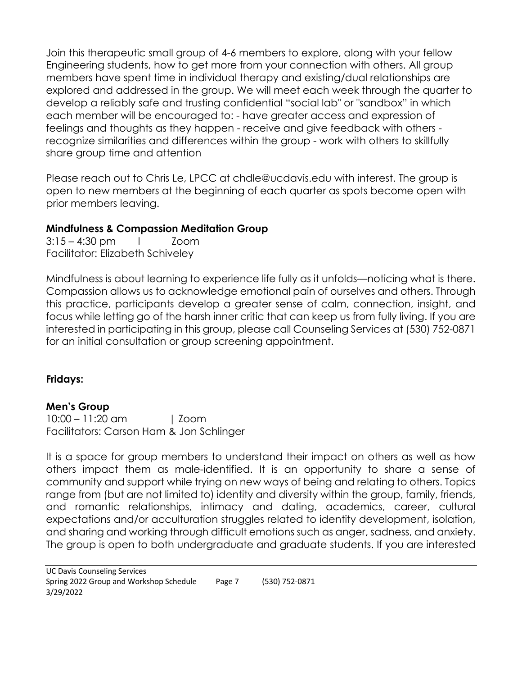Join this therapeutic small group of 4-6 members to explore, along with your fellow Engineering students, how to get more from your connection with others. All group members have spent time in individual therapy and existing/dual relationships are explored and addressed in the group. We will meet each week through the quarter to develop a reliably safe and trusting confidential "social lab" or "sandbox" in which each member will be encouraged to: - have greater access and expression of feelings and thoughts as they happen - receive and give feedback with others recognize similarities and differences within the group - work with others to skillfully share group time and attention

Please reach out to Chris Le, LPCC at chdle@ucdavis.edu with interest. The group is open to new members at the beginning of each quarter as spots become open with prior members leaving.

#### **Mindfulness & Compassion Meditation Group**

 $3:15 - 4:30$  pm  $1$  Zoom Facilitator: Elizabeth Schiveley

Mindfulness is about learning to experience life fully as it unfolds—noticing what is there. Compassion allows us to acknowledge emotional pain of ourselves and others. Through this practice, participants develop a greater sense of calm, connection, insight, and focus while letting go of the harsh inner critic that can keep us from fully living. If you are interested in participating in this group, please call Counseling Services at (530) 752-0871 for an initial consultation or group screening appointment.

## **Fridays:**

#### **Men's Group**

10:00 – 11:20 am | Zoom Facilitators: Carson Ham & Jon Schlinger

It is a space for group members to understand their impact on others as well as how others impact them as male-identified. It is an opportunity to share a sense of community and support while trying on new ways of being and relating to others. Topics range from (but are not limited to) identity and diversity within the group, family, friends, and romantic relationships, intimacy and dating, academics, career, cultural expectations and/or acculturation struggles related to identity development, isolation, and sharing and working through difficult emotions such as anger, sadness, and anxiety. The group is open to both undergraduate and graduate students. If you are interested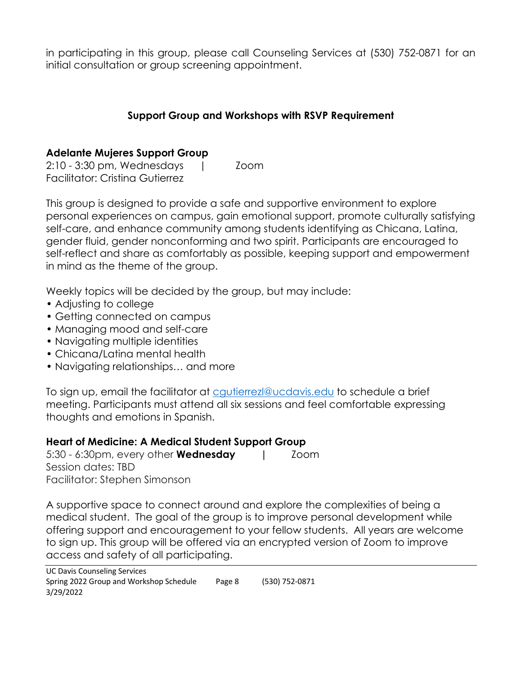in participating in this group, please call Counseling Services at (530) 752-0871 for an initial consultation or group screening appointment.

#### **Support Group and Workshops with RSVP Requirement**

#### **Adelante Mujeres Support Group**

2:10 - 3:30 pm, Wednesdays | Zoom Facilitator: Cristina Gutierrez

This group is designed to provide a safe and supportive environment to explore personal experiences on campus, gain emotional support, promote culturally satisfying self-care, and enhance community among students identifying as Chicana, Latina, gender fluid, gender nonconforming and two spirit. Participants are encouraged to self-reflect and share as comfortably as possible, keeping support and empowerment in mind as the theme of the group.

Weekly topics will be decided by the group, but may include:

- Adjusting to college
- Getting connected on campus
- Managing mood and self-care
- Navigating multiple identities
- Chicana/Latina mental health
- Navigating relationships… and more

To sign up, email the facilitator at cgutierrezl@ucdavis.edu to schedule a brief meeting. Participants must attend all six sessions and feel comfortable expressing thoughts and emotions in Spanish.

#### **Heart of Medicine: A Medical Student Support Group**

5:30 - 6:30pm, every other **Wednesday |** Zoom Session dates: TBD Facilitator: Stephen Simonson

A supportive space to connect around and explore the complexities of being a medical student. The goal of the group is to improve personal development while offering support and encouragement to your fellow students. All years are welcome to sign up. This group will be offered via an encrypted version of Zoom to improve access and safety of all participating.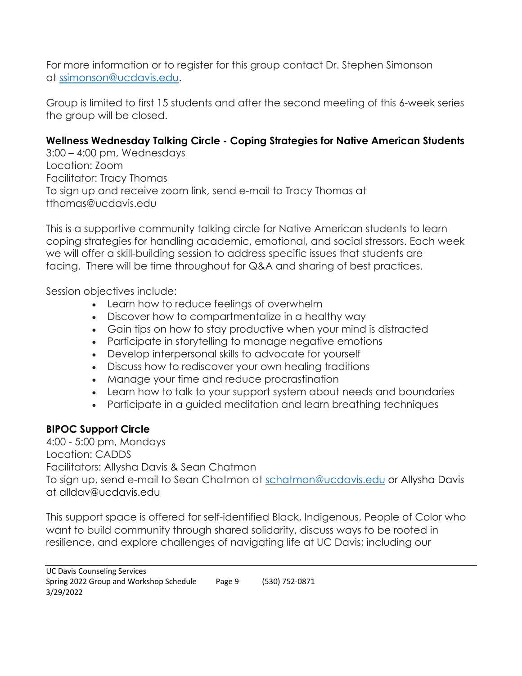For more information or to register for this group contact Dr. Stephen Simonson at ssimonson@ucdavis.edu.

Group is limited to first 15 students and after the second meeting of this 6-week series the group will be closed.

# **Wellness Wednesday Talking Circle - Coping Strategies for Native American Students**

3:00 – 4:00 pm, Wednesdays Location: Zoom Facilitator: Tracy Thomas To sign up and receive zoom link, send e-mail to Tracy Thomas at tthomas@ucdavis.edu

This is a supportive community talking circle for Native American students to learn coping strategies for handling academic, emotional, and social stressors. Each week we will offer a skill-building session to address specific issues that students are facing. There will be time throughout for Q&A and sharing of best practices.

Session objectives include:

- Learn how to reduce feelings of overwhelm
- Discover how to compartmentalize in a healthy way
- Gain tips on how to stay productive when your mind is distracted
- Participate in storytelling to manage negative emotions
- Develop interpersonal skills to advocate for yourself
- Discuss how to rediscover your own healing traditions
- Manage your time and reduce procrastination
- Learn how to talk to your support system about needs and boundaries
- Participate in a guided meditation and learn breathing techniques

# **BIPOC Support Circle**

4:00 - 5:00 pm, Mondays Location: CADDS Facilitators: Allysha Davis & Sean Chatmon To sign up, send e-mail to Sean Chatmon at schatmon@ucdavis.edu or Allysha Davis at alldav@ucdavis.edu

This support space is offered for self-identified Black, Indigenous, People of Color who want to build community through shared solidarity, discuss ways to be rooted in resilience, and explore challenges of navigating life at UC Davis; including our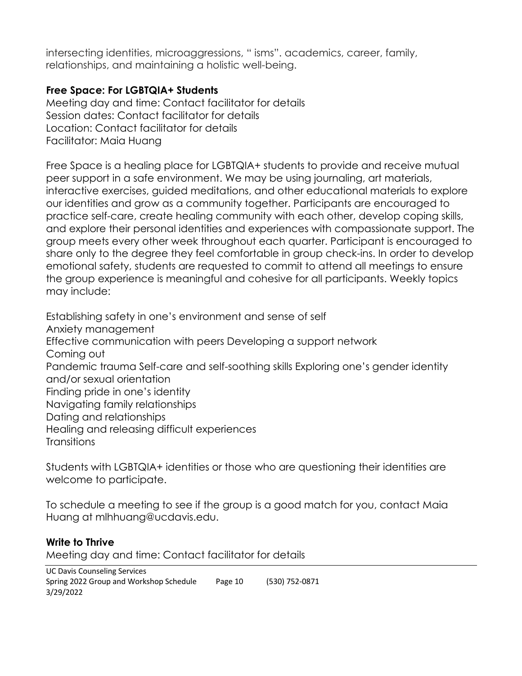intersecting identities, microaggressions, " isms". academics, career, family, relationships, and maintaining a holistic well-being.

#### **Free Space: For LGBTQIA+ Students**

Meeting day and time: Contact facilitator for details Session dates: Contact facilitator for details Location: Contact facilitator for details Facilitator: Maia Huang

Free Space is a healing place for LGBTQIA+ students to provide and receive mutual peer support in a safe environment. We may be using journaling, art materials, interactive exercises, guided meditations, and other educational materials to explore our identities and grow as a community together. Participants are encouraged to practice self-care, create healing community with each other, develop coping skills, and explore their personal identities and experiences with compassionate support. The group meets every other week throughout each quarter. Participant is encouraged to share only to the degree they feel comfortable in group check-ins. In order to develop emotional safety, students are requested to commit to attend all meetings to ensure the group experience is meaningful and cohesive for all participants. Weekly topics may include:

Establishing safety in one's environment and sense of self Anxiety management Effective communication with peers Developing a support network Coming out Pandemic trauma Self-care and self-soothing skills Exploring one's gender identity and/or sexual orientation Finding pride in one's identity Navigating family relationships Dating and relationships Healing and releasing difficult experiences **Transitions** 

Students with LGBTQIA+ identities or those who are questioning their identities are welcome to participate.

To schedule a meeting to see if the group is a good match for you, contact Maia Huang at mlhhuang@ucdavis.edu.

#### **Write to Thrive**

Meeting day and time: Contact facilitator for details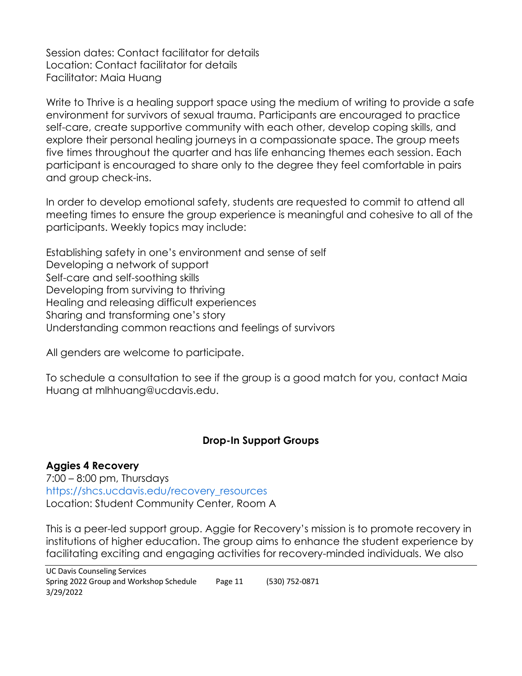Session dates: Contact facilitator for details Location: Contact facilitator for details Facilitator: Maia Huang

Write to Thrive is a healing support space using the medium of writing to provide a safe environment for survivors of sexual trauma. Participants are encouraged to practice self-care, create supportive community with each other, develop coping skills, and explore their personal healing journeys in a compassionate space. The group meets five times throughout the quarter and has life enhancing themes each session. Each participant is encouraged to share only to the degree they feel comfortable in pairs and group check-ins.

In order to develop emotional safety, students are requested to commit to attend all meeting times to ensure the group experience is meaningful and cohesive to all of the participants. Weekly topics may include:

Establishing safety in one's environment and sense of self Developing a network of support Self-care and self-soothing skills Developing from surviving to thriving Healing and releasing difficult experiences Sharing and transforming one's story Understanding common reactions and feelings of survivors

All genders are welcome to participate.

To schedule a consultation to see if the group is a good match for you, contact Maia Huang at mlhhuang@ucdavis.edu.

#### **Drop-In Support Groups**

#### **Aggies 4 Recovery**

7:00 – 8:00 pm, Thursdays https://shcs.ucdavis.edu/recovery\_resources Location: Student Community Center, Room A

This is a peer-led support group. Aggie for Recovery's mission is to promote recovery in institutions of higher education. The group aims to enhance the student experience by facilitating exciting and engaging activities for recovery-minded individuals. We also